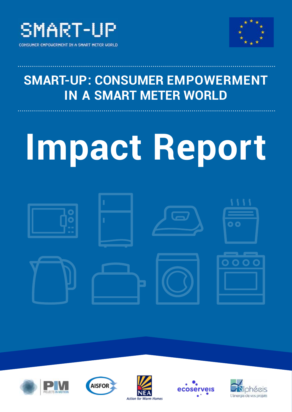



## **SMART-UP: CONSUMER EMPOWERMENT IN A SMART METER WORLD**

# **Impact Report**











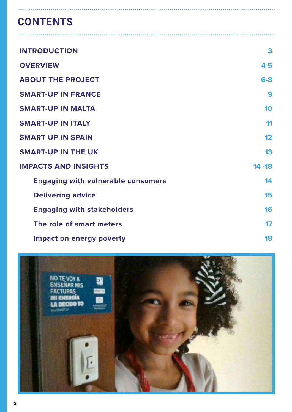## **CONTENTS**

| <b>INTRODUCTION</b>                       | 3         |
|-------------------------------------------|-----------|
| <b>OVERVIEW</b>                           | 4-5       |
| <b>ABOUT THE PROJECT</b>                  | $6-8$     |
| <b>SMART-UP IN FRANCE</b>                 | 9         |
| <b>SMART-UP IN MALTA</b>                  | 10        |
| <b>SMART-UP IN ITALY</b>                  | 11        |
| <b>SMART-UP IN SPAIN</b>                  | 12        |
| <b>SMART-UP IN THE UK</b>                 | 13        |
| <b>IMPACTS AND INSIGHTS</b>               | $14 - 18$ |
| <b>Engaging with vulnerable consumers</b> | 14        |
| <b>Delivering advice</b>                  | 15        |
| <b>Engaging with stakeholders</b>         | 16        |
| The role of smart meters                  | 17        |
| Impact on energy poverty                  | 18        |

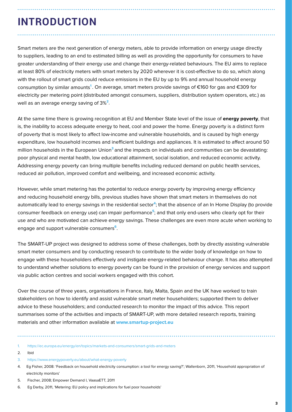## **INTRODUCTION**

Smart meters are the next generation of energy meters, able to provide information on energy usage directly to suppliers, leading to an end to estimated billing as well as providing the opportunity for consumers to have greater understanding of their energy use and change their energy-related behaviours. The EU aims to replace at least 80% of electricity meters with smart meters by 2020 wherever it is cost-effective to do so, which along with the rollout of smart grids could reduce emissions in the EU by up to 9% and annual household energy consumption by similar amounts**<sup>1</sup>** . On average, smart meters provide savings of €160 for gas and €309 for electricity per metering point (distributed amongst consumers, suppliers, distribution system operators, etc.) as well as an average energy saving of 3%**<sup>2</sup>**.

At the same time there is growing recognition at EU and Member State level of the issue of **energy poverty**, that is, the inability to access adequate energy to heat, cool and power the home. Energy poverty is a distinct form of poverty that is most likely to affect low-income and vulnerable households, and is caused by high energy expenditure, low household incomes and inefficient buildings and appliances. It is estimated to affect around 50 million households in the European Union**<sup>3</sup>**and the impacts on individuals and communities can be devastating: poor physical and mental health, low educational attainment, social isolation, and reduced economic activity. Addressing energy poverty can bring multiple benefits including reduced demand on public health services, reduced air pollution, improved comfort and wellbeing, and increased economic activity.

However, while smart metering has the potential to reduce energy poverty by improving energy efficiency and reducing household energy bills, previous studies have shown that smart meters in themselves do not automatically lead to energy savings in the residential sector**<sup>4</sup>**; that the absence of an In Home Display (to provide consumer feedback on energy use) can impair performance**<sup>5</sup>**; and that only end-users who clearly opt for their use and who are motivated can achieve energy savings. These challenges are even more acute when working to engage and support vulnerable consumers**<sup>6</sup>**.

The SMART-UP project was designed to address some of these challenges, both by directly assisting vulnerable smart meter consumers and by conducting research to contribute to the wider body of knowledge on how to engage with these householders effectively and instigate energy-related behaviour change. It has also attempted to understand whether solutions to energy poverty can be found in the provision of energy services and support via public action centres and social workers engaged with this cohort.

Over the course of three years, organisations in France, Italy, Malta, Spain and the UK have worked to train stakeholders on how to identify and assist vulnerable smart meter householders; supported them to deliver advice to these householders; and conducted research to monitor the impact of this advice. This report summarises some of the activities and impacts of SMART-UP, with more detailed research reports, training materials and other information available at **www.smartup-project.eu**

1. https://ec.europa.eu/energy/en/topics/markets-and-consumers/smart-grids-and-meters

- 2. Ibid
- 3. https://www.energypoverty.eu/about/what-energy-poverty
- 4. Eg Fisher, 2008: 'Feedback on household electricity consumption: a tool for energy saving?'; Wallenborn, 2011, 'Household appropriation of electricity monitors'
- 5. Fischer, 2008; Empower Demand I, VaasaETT, 2011
- 6. Eg Darby, 2011, 'Metering: EU policy and implications for fuel poor households'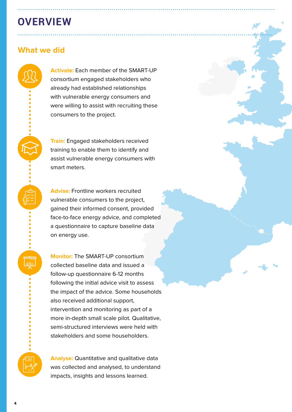## **OVERVIEW**

## **What we did**

**Activate:** Each member of the SMART-UP consortium engaged stakeholders who already had established relationships with vulnerable energy consumers and were willing to assist with recruiting these consumers to the project.

**Train:** Engaged stakeholders received training to enable them to identify and assist vulnerable energy consumers with smart meters.

**Advise:** Frontline workers recruited vulnerable consumers to the project, gained their informed consent, provided face-to-face energy advice, and completed a questionnaire to capture baseline data on energy use.

**Monitor:** The SMART-UP consortium collected baseline data and issued a follow-up questionnaire 6-12 months following the initial advice visit to assess the impact of the advice. Some households also received additional support, intervention and monitoring as part of a more in-depth small scale pilot. Qualitative, semi-structured interviews were held with stakeholders and some householders.

**Analyse:** Quantitative and qualitative data was collected and analysed, to understand impacts, insights and lessons learned.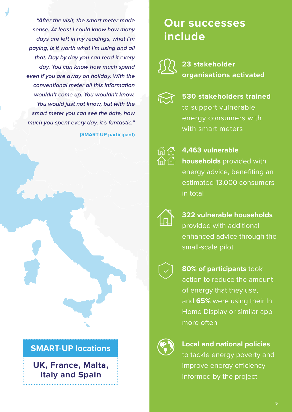**"After the visit, the smart meter made sense. At least I could know how many days are left in my readings, what I'm paying, is it worth what I'm using and all that. Day by day you can read it every day. You can know how much spend even if you are away on holiday. With the conventional meter all this information wouldn't come up. You wouldn't know. You would just not know, but with the smart meter you can see the date, how much you spent every day, it's fantastic."**

**(SMART-UP participant)**



## **SMART-UP locations**

**UK, France, Malta, Italy and Spain**

## **Our successes include**



## **23 stakeholder organisations activated**



**530 stakeholders trained**  to support vulnerable energy consumers with with smart meters

**4,463 vulnerable households** provided with energy advice, benefiting an estimated 13,000 consumers in total



**322 vulnerable households** provided with additional enhanced advice through the small-scale pilot



**80% of participants** took action to reduce the amount of energy that they use, and **65%** were using their In Home Display or similar app more often



**Local and national policies** to tackle energy poverty and improve energy efficiency informed by the project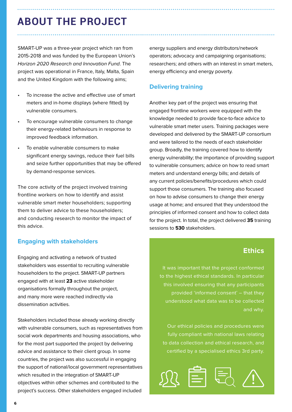## **ABOUT THE PROJECT**

SMART-UP was a three-year project which ran from 2015-2018 and was funded by the European Union's Horizon 2020 Research and Innovation Fund. The project was operational in France, Italy, Malta, Spain and the United Kingdom with the following aims;

- To increase the active and effective use of smart meters and in-home displays (where fitted) by vulnerable consumers.
- To encourage vulnerable consumers to change their energy-related behaviours in response to improved feedback information.
- To enable vulnerable consumers to make significant energy savings, reduce their fuel bills and seize further opportunities that may be offered by demand-response services.

The core activity of the project involved training frontline workers on how to identify and assist vulnerable smart meter householders; supporting them to deliver advice to these householders; and conducting research to monitor the impact of this advice.

### **Engaging with stakeholders**

Engaging and activating a network of trusted stakeholders was essential to recruiting vulnerable householders to the project. SMART-UP partners engaged with at least **23** active stakeholder organisations formally throughout the project, and many more were reached indirectly via dissemination activities.

Stakeholders included those already working directly with vulnerable consumers, such as representatives from social work departments and housing associations, who for the most part supported the project by delivering advice and assistance to their client group. In some countries, the project was also successful in engaging the support of national/local government representatives which resulted in the integration of SMART-UP objectives within other schemes and contributed to the project's success. Other stakeholders engaged included

energy suppliers and energy distributors/network operators; advocacy and campaigning organisations; researchers; and others with an interest in smart meters, energy efficiency and energy poverty.

#### **Delivering training**

Another key part of the project was ensuring that engaged frontline workers were equipped with the knowledge needed to provide face-to-face advice to vulnerable smart meter users. Training packages were developed and delivered by the SMART-UP consortium and were tailored to the needs of each stakeholder group. Broadly, the training covered how to identify energy vulnerability; the importance of providing support to vulnerable consumers; advice on how to read smart meters and understand energy bills; and details of any current policies/benefits/procedures which could support those consumers. The training also focused on how to advise consumers to change their energy usage at home; and ensured that they understood the principles of informed consent and how to collect data for the project. In total, the project delivered **35** training sessions to **530** stakeholders.

## **Ethics**

It was important that the project conformed to the highest ethical standards. In particular this involved ensuring that any participants provided 'informed consent' – that they understood what data was to be collected and why.

Our ethical policies and procedures were fully compliant with national laws relating to data collection and ethical research, and certified by a specialised ethics 3rd party.

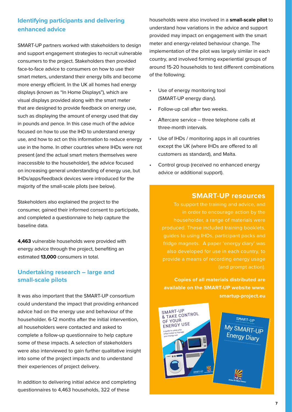## **Identifying participants and delivering enhanced advice**

SMART-UP partners worked with stakeholders to design and support engagement strategies to recruit vulnerable consumers to the project. Stakeholders then provided face-to-face advice to consumers on how to use their smart meters, understand their energy bills and become more energy efficient. In the UK all homes had energy displays (known as "In Home Displays"), which are visual displays provided along with the smart meter that are designed to provide feedback on energy use, such as displaying the amount of energy used that day in pounds and pence. In this case much of the advice focused on how to use the IHD to understand energy use, and how to act on this information to reduce energy use in the home. In other countries where IHDs were not present (and the actual smart meters themselves were inaccessible to the householder), the advice focused on increasing general understanding of energy use, but IHDs/apps/feedback devices were introduced for the majority of the small-scale pilots (see below).

Stakeholders also explained the project to the consumer, gained their informed consent to participate, and completed a questionnaire to help capture the baseline data.

**4,463** vulnerable households were provided with energy advice through the project, benefiting an estimated **13,000** consumers in total.

## **Undertaking research – large and small-scale pilots**

It was also important that the SMART-UP consortium could understand the impact that providing enhanced advice had on the energy use and behaviour of the householder. 6-12 months after the initial intervention, all householders were contacted and asked to complete a follow-up questionnaire to help capture some of these impacts. A selection of stakeholders were also interviewed to gain further qualitative insight into some of the project impacts and to understand their experiences of project delivery.

In addition to delivering initial advice and completing questionnaires to 4,463 households, 322 of these

households were also involved in a **small-scale pilot** to understand how variations in the advice and support provided may impact on engagement with the smart meter and energy-related behaviour change. The implementation of the pilot was largely similar in each country, and involved forming experiential groups of around 15-20 households to test different combinations of the following;

- Use of energy monitoring tool (SMART-UP energy diary).
- Follow-up call after two weeks.
- Aftercare service three telephone calls at three-month intervals.
- Use of IHDs / monitoring apps in all countries except the UK (where IHDs are offered to all customers as standard), and Malta.
- Control group (received no enhanced energy advice or additional support).

#### **SMART-UP resources**

To support the training and advice, and in order to encourage action by the householder, a range of materials were produced. These included training booklets, guides to using IHDs, participant packs and fridge magnets. A paper 'energy diary' was also developed for use in each country, to provide a means of recording energy usage

**Copies of all materials distributed are available on the SMART-UP website www. smartup-project.eu**

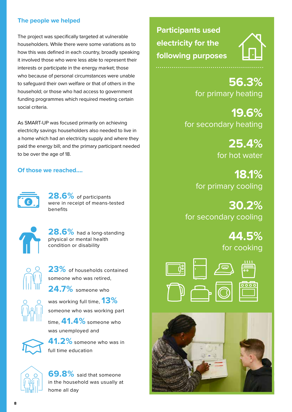### **The people we helped**

The project was specifically targeted at vulnerable householders. While there were some variations as to how this was defined in each country, broadly speaking it involved those who were less able to represent their interests or participate in the energy market; those who because of personal circumstances were unable to safeguard their own welfare or that of others in the household; or those who had access to government funding programmes which required meeting certain social criteria.

As SMART-UP was focused primarily on achieving electricity savings householders also needed to live in a home which had an electricity supply and where they paid the energy bill; and the primary participant needed to be over the age of 18.

### **Of those we reached….**



**28.6%** of participants were in receipt of means-tested benefits



**28.6%** had a long-standing physical or mental health condition or disability



**23%** of households contained someone who was retired,

**24.7%** someone who



was working full time, **13%**  someone who was working part

time, **41.4%** someone who was unemployed and



**41.2%** someone who was in full time education



**69.8%** said that someone in the household was usually at home all day

**Participants used electricity for the following purposes**



**56.3%**  for primary heating

**19.6%** for secondary heating

> **25.4%** for hot water

**18.1%** for primary cooling

**30.2%** for secondary cooling

> **44.5%** for cooking



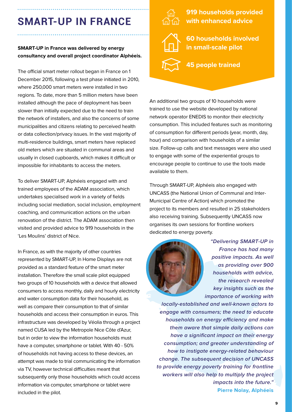## **SMART-UP IN FRANCE**

#### **SMART-UP in France was delivered by energy consultancy and overall project coordinator Alphéeis.**

The official smart meter rollout began in France on 1 December 2015, following a test phase initiated in 2010, where 250,000 smart meters were installed in two regions. To date, more than 5 million meters have been installed although the pace of deployment has been slower than initially expected due to the need to train the network of installers, and also the concerns of some municipalities and citizens relating to perceived health or data collection/privacy issues. In the vast majority of multi-residence buildings, smart meters have replaced old meters which are situated in communal areas and usually in closed cupboards, which makes it difficult or impossible for inhabitants to access the meters.

To deliver SMART-UP, Alphéeis engaged with and trained employees of the ADAM association, which undertakes specialised work in a variety of fields including social mediation, social inclusion, employment coaching, and communication actions on the urban renovation of the district. The ADAM association then visited and provided advice to 919 households in the 'Les Moulins' district of Nice.

In France, as with the majority of other countries represented by SMART-UP, In Home Displays are not provided as a standard feature of the smart meter installation. Therefore the small scale pilot equipped two groups of 10 households with a device that allowed consumers to access monthly, daily and hourly electricity and water consumption data for their household, as well as compare their consumption to that of similar households and access their consumption in euros. This infrastructure was developed by Véolia through a project named CUSA led by the Metropole Nice Côte d'Azur, but in order to view the information households must have a computer, smartphone or tablet. With 40 - 50% of households not having access to these devices, an attempt was made to trial communicating the information via TV, however technical difficulties meant that subsequently only those households which could access information via computer, smartphone or tablet were included in the pilot.



**919 households provided with enhanced advice**

**60 households involved in small-scale pilot**

**45 people trained**

An additional two groups of 10 households were trained to use the website developed by national network operator ENEDIS to monitor their electricity consumption. This included features such as monitoring of consumption for different periods (year, month, day, hour) and comparison with households of a similar size. Follow-up calls and text messages were also used to engage with some of the experiential groups to encourage people to continue to use the tools made available to them.

Through SMART-UP, Alphéeis also engaged with UNCASS (the National Union of Communal and Inter-Municipal Centre of Action) which promoted the project to its members and resulted in 25 stakeholders also receiving training. Subsequently UNCASS now organises its own sessions for frontline workers dedicated to energy poverty.



**"Delivering SMART-UP in France has had many positive impacts. As well as providing over 900 households with advice, the research revealed key insights such as the importance of working with** 

**locally-established and well-known actors to engage with consumers; the need to educate households on energy efficiency and make them aware that simple daily actions can have a significant impact on their energy consumption; and greater understanding of how to instigate energy-related behaviour change. The subsequent decision of UNCASS to provide energy poverty training for frontline workers will also help to multiply the project impacts into the future." Pierre Nolay, Alphéeis**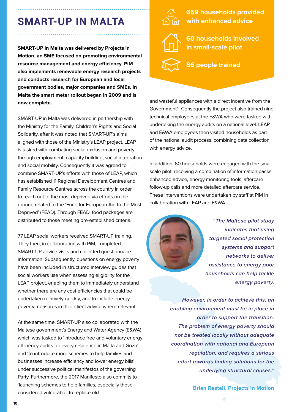## **SMART-UP IN MALTA**

**SMART-UP in Malta was delivered by Projects in Motion, an SME focused on promoting environmental resource management and energy efficiency. PiM also implements renewable energy research projects and conducts research for European and local government bodies, major companies and SMEs. In Malta the smart meter rollout began in 2009 and is now complete.**

SMART-UP in Malta was delivered in partnership with the Ministry for the Family, Children's Rights and Social Solidarity, after it was noted that SMART-UP's aims aligned with those of the Ministry's LEAP project. LEAP is tasked with combating social exclusion and poverty through employment, capacity building, social integration and social mobility. Consequently it was agreed to combine SMART-UP's efforts with those of LEAP, which has established 11 Regional Development Centres and Family Resource Centres across the country in order to reach out to the most deprived via efforts on the ground related to the 'Fund for European Aid to the Most Deprived' (FEAD). Through FEAD, food packages are distributed to those meeting pre-established criteria.

77 LEAP social workers received SMART-UP training. They then, in collaboration with PiM, completed SMART-UP advice visits and collected questionnaire information. Subsequently, questions on energy poverty have been included in structured interview guides that social workers use when assessing eligibility for the LEAP project, enabling them to immediately understand whether there are any cost efficiencies that could be undertaken relatively quickly, and to include energy poverty measures in their client advice where relevant.

At the same time, SMART-UP also collaborated with the Maltese government's Energy and Water Agency (E&WA) which was tasked to 'introduce free and voluntary energy efficiency audits for every residence in Malta and Gozo' and 'to introduce more schemes to help families and businesses increase efficiency and lower energy bills' under successive political manifestos of the governing Party. Furthermore, the 2017 Manifesto also commits to 'launching schemes to help families, especially those considered vulnerable, to replace old



**659 households provided with enhanced advice**

**60 households involved in small-scale pilot**

**86 people trained**

and wasteful appliances with a direct incentive from the Government'. Consequently the project also trained nine technical employees at the E&WA who were tasked with undertaking the energy audits on a national level. LEAP and E&WA employees then visited households as part of the national audit process, combining data collection with energy advice.

In addition, 60 households were engaged with the smallscale pilot, receiving a combination of information packs, enhanced advice, energy monitoring tools, aftercare follow-up calls and more detailed aftercare service. These interventions were undertaken by staff at PiM in collaboration with LEAP and E&WA.



**"The Maltese pilot study indicates that using targeted social protection systems and support networks to deliver assistance to energy poor households can help tackle energy poverty.**

**However, in order to achieve this, an enabling environment must be in place in order to support the transition. The problem of energy poverty should not be treated locally without adequate coordination with national and European regulation, and requires a serious effort towards finding solutions for the underlying structural causes."** 

**Brian Restall, Projects in Motion**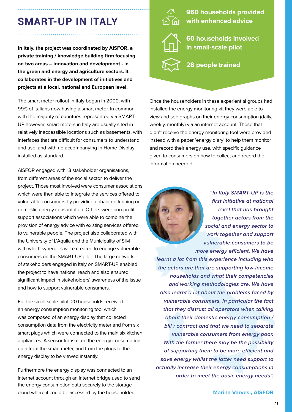## **SMART-UP IN ITALY**

**In Italy, the project was coordinated by AISFOR, a private training / knowledge building firm focusing on two areas – innovation and development - in the green and energy and agriculture sectors. It collaborates in the development of initiatives and projects at a local, national and European level.** 

The smart meter rollout in Italy began in 2000, with 99% of Italians now having a smart meter. In common with the majority of countries represented via SMART-UP however, smart meters in Italy are usually sited in relatively inaccessible locations such as basements, with interfaces that are difficult for consumers to understand and use, and with no accompanying In Home Display installed as standard.

AISFOR engaged with 13 stakeholder organisations, from different areas of the social sector, to deliver the project. Those most involved were consumer associations which were then able to integrate the services offered to vulnerable consumers by providing enhanced training on domestic energy consumption. Others were non-profit support associations which were able to combine the provision of energy advice with existing services offered to vulnerable people. The project also collaborated with the University of L'Aquila and the Municipality of Silvi with which synergies were created to engage vulnerable consumers on the SMART-UP pilot. The large network of stakeholders engaged in Italy on SMART-UP enabled the project to have national reach and also ensured significant impact in stakeholders' awareness of the issue and how to support vulnerable consumers.

For the small-scale pilot, 20 households received an energy consumption monitoring tool which was composed of an energy display that collected consumption data from the electricity meter and from six smart plugs which were connected to the main six kitchen appliances. A sensor transmited the energy consumption data from the smart meter, and from the plugs to the energy display to be viewed instantly.

Furthermore the energy display was connected to an internet account through an internet bridge used to send the energy consumption data securely to the storage cloud where it could be accessed by the householder.



**960 households provided with enhanced advice**

**60 households involved in small-scale pilot**

**28 people trained**

Once the householders in these experiential groups had installed the energy monitoring kit they were able to view and see graphs on their energy consumption (daily, weekly, monthly) via an internet account. Those that didn't receive the energy monitoring tool were provided instead with a paper 'energy diary' to help them monitor and record their energy use, with specific guidance given to consumers on how to collect and record the information needed.



**"In Italy SMART-UP is the first initiative at national level that has brought together actors from the social and energy sector to work together and support vulnerable consumers to be more energy efficient. We have** 

**learnt a lot from this experience including who the actors are that are supporting low-income households and what their competencies and working methodologies are. We have also learnt a lot about the problems faced by vulnerable consumers, in particular the fact that they distrust all operators when talking about their domestic energy consumption / bill / contract and that we need to separate vulnerable consumers from energy poor. With the former there may be the possibility of supporting them to be more efficient and save energy whilst the latter need support to actually increase their energy consumptions in order to meet the basic energy needs".**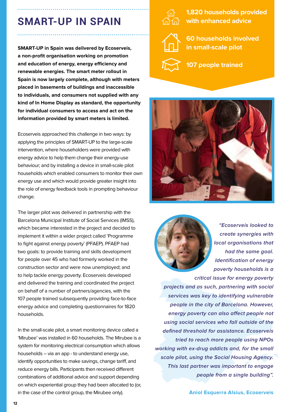## **SMART-UP IN SPAIN**

**SMART-UP in Spain was delivered by Ecoserveis, a non-profit organisation working on promotion and education of energy, energy efficiency and renewable energies. The smart meter rollout in Spain is now largely complete, although with meters placed in basements of buildings and inaccessible to individuals, and consumers not supplied with any kind of In Home Display as standard, the opportunity for individual consumers to access and act on the information provided by smart meters is limited.**

Ecoserveis approached this challenge in two ways: by applying the principles of SMART-UP to the large-scale intervention, where householders were provided with energy advice to help them change their energy-use behaviour; and by installing a device in small-scale pilot households which enabled consumers to monitor their own energy use and which would provide greater insight into the role of energy feedback tools in prompting behaviour change.

The larger pilot was delivered in partnership with the Barcelona Municipal Institute of Social Services (IMSS), which became interested in the project and decided to implement it within a wider project called 'Programme to fight against energy poverty' (PFAEP). PFAEP had two goals: to provide training and skills development for people over 45 who had formerly worked in the construction sector and were now unemployed; and to help tackle energy poverty. Ecoserveis developed and delivered the training and coordinated the project on behalf of a number of partners/agencies, with the 107 people trained subsequently providing face-to-face energy advice and completing questionnaires for 1820 households.

In the small-scale pilot, a smart monitoring device called a 'Mirubee' was installed in 60 households. The Mirubee is a system for monitoring electrical consumption which allows households – via an app - to understand energy use, identify opportunities to make savings, change tariff, and reduce energy bills. Participants then received different combinations of additional advice and support depending on which experiential group they had been allocated to (or, in the case of the control group, the Mirubee only).



**1,820 households provided with enhanced advice**



**60 households involved in small-scale pilot**



**107 people trained**





**"Ecoserveis looked to create synergies with local organisations that had the same goal. Identification of energy poverty households is a** 

**critical issue for energy poverty projects and as such, partnering with social services was key to identifying vulnerable people in the city of Barcelona. However, energy poverty can also affect people not using social services who fall outside of the defined threshold for assistance. Ecoserveis tried to reach more people using NPOs working with ex-drug addicts and, for the small scale pilot, using the Social Housing Agency. This last partner was important to engage people from a single building".**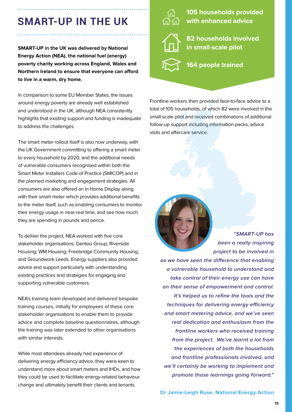## **SMART-UP IN THE UK**

**SMART-UP in the UK was delivered by National Energy Action (NEA), the national fuel (energy) poverty charity working across England, Wales and Northern Ireland to ensure that everyone can afford to live in a warm, dry home.** 

In comparison to some EU Member States, the issues around energy poverty are already well established and understood in the UK, although NEA consistently highlights that existing support and funding is inadequate to address the challenges.

The smart meter rollout itself is also now underway, with the UK Government committing to offering a smart meter to every household by 2020, and the additional needs of vulnerable consumers recognised within both the Smart Meter Installers Code of Practice (SMICOP) and in the planned marketing and engagement strategies. All consumers are also offered an In Home Display along with their smart meter which provides additional benefits to the meter itself, such as enabling consumers to monitor their energy usage in near-real time, and see how much they are spending in pounds and pence.

To deliver the project, NEA worked with five core stakeholder organisations: Gentoo Group; Riverside Housing; WM Housing; Freebridge Community Housing; and Groundwork Leeds. Energy suppliers also provided advice and support particularly with understanding existing practices and strategies for engaging and supporting vulnerable customers.

NEA's training team developed and delivered bespoke training courses, initially for employees of these core stakeholder organisations to enable them to provide advice and complete baseline questionnaires, although the training was later extended to other organisations with similar interests.

While most attendees already had experience of delivering energy efficiency advice, they were keen to understand more about smart meters and IHDs, and how they could be used to facilitate energy-related behaviour change and ultimately benefit their clients and tenants.



**105 households provided with enhanced advice**



**82 households involved in small-scale pilot**

**164 people trained**

Frontline workers then provided face-to-face advice to a total of 105 households, of which 82 were involved in the small-scale pilot and received combinations of additional follow-up support including information packs, advice visits and aftercare service.



**"SMART-UP has been a really inspiring project to be involved in** 

**as we have seen the difference that enabling a vulnerable household to understand and take control of their energy use can have on their sense of empowerment and control. It's helped us to refine the tools and the techniques for delivering energy efficiency and smart metering advice, and we've seen real dedication and enthusiasm from the frontline workers who received training from the project. We've learnt a lot from the experiences of both the households and frontline professionals involved, and we'll certainly be working to implement and promote those learnings going forward."** 

**Dr Jamie-Leigh Ruse, National Energy Action**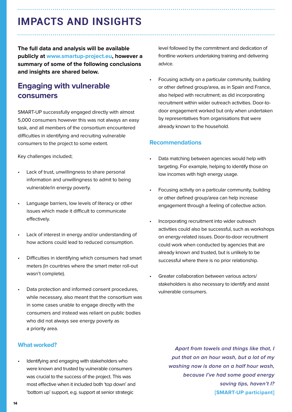## **IMPACTS AND INSIGHTS**

**The full data and analysis will be available publicly at www.smartup-project.eu, however a summary of some of the following conclusions and insights are shared below.**

## **Engaging with vulnerable consumers**

SMART-UP successfully engaged directly with almost 5,000 consumers however this was not always an easy task, and all members of the consortium encountered difficulties in identifying and recruiting vulnerable consumers to the project to some extent.

Key challenges included;

- Lack of trust, unwillingness to share personal information and unwillingness to admit to being vulnerable/in energy poverty.
- Language barriers, low levels of literacy or other issues which made it difficult to communicate effectively.
- Lack of interest in energy and/or understanding of how actions could lead to reduced consumption.
- Difficulties in identifying which consumers had smart meters (in countries where the smart meter roll-out wasn't complete).
- Data protection and informed consent procedures, while necessary, also meant that the consortium was in some cases unable to engage directly with the consumers and instead was reliant on public bodies who did not always see energy poverty as a priority area.

#### **What worked?**

• Identifying and engaging with stakeholders who were known and trusted by vulnerable consumers was crucial to the success of the project. This was most effective when it included both 'top down' and 'bottom up' support, e.g. support at senior strategic

level followed by the commitment and dedication of frontline workers undertaking training and delivering advice.

• Focusing activity on a particular community, building or other defined group/area, as in Spain and France, also helped with recruitment; as did incorporating recruitment within wider outreach activities. Door-todoor engagement worked but only when undertaken by representatives from organisations that were already known to the household.

#### **Recommendations**

- Data matching between agencies would help with targeting. For example, helping to identify those on low incomes with high energy usage.
- Focusing activity on a particular community, building or other defined group/area can help increase engagement through a feeling of collective action.
- Incorporating recruitment into wider outreach activities could also be successful, such as workshops on energy-related issues. Door-to-door recruitment could work when conducted by agencies that are already known and trusted, but is unlikely to be successful where there is no prior relationship.
- Greater collaboration between various actors/ stakeholders is also necessary to identify and assist vulnerable consumers.

**Apart from towels and things like that, I put that on an hour wash, but a lot of my washing now is done on a half hour wash, because I've had some good energy saving tips, haven't I? [SMART-UP participant]**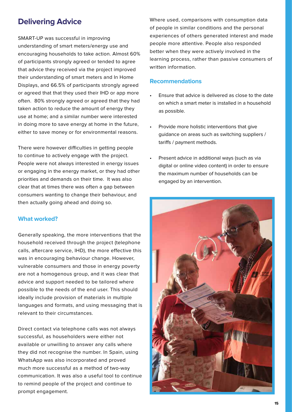## **Delivering Advice**

SMART-UP was successful in improving understanding of smart meters/energy use and encouraging households to take action. Almost 60% of participants strongly agreed or tended to agree that advice they received via the project improved their understanding of smart meters and In Home Displays, and 66.5% of participants strongly agreed or agreed that that they used their IHD or app more often. 80% strongly agreed or agreed that they had taken action to reduce the amount of energy they use at home; and a similar number were interested in doing more to save energy at home in the future, either to save money or for environmental reasons.

There were however difficulties in getting people to continue to actively engage with the project. People were not always interested in energy issues or engaging in the energy market, or they had other priorities and demands on their time. It was also clear that at times there was often a gap between consumers wanting to change their behaviour, and then actually going ahead and doing so.

#### **What worked?**

Generally speaking, the more interventions that the household received through the project (telephone calls, aftercare service, IHD), the more effective this was in encouraging behaviour change. However, vulnerable consumers and those in energy poverty are not a homogenous group, and it was clear that advice and support needed to be tailored where possible to the needs of the end user. This should ideally include provision of materials in multiple languages and formats, and using messaging that is relevant to their circumstances.

Direct contact via telephone calls was not always successful, as householders were either not available or unwilling to answer any calls where they did not recognise the number. In Spain, using WhatsApp was also incorporated and proved much more successful as a method of two-way communication. It was also a useful tool to continue to remind people of the project and continue to prompt engagement.

Where used, comparisons with consumption data of people in similar conditions and the personal experiences of others generated interest and made people more attentive. People also responded better when they were actively involved in the learning process, rather than passive consumers of written information.

#### **Recommendations**

- Ensure that advice is delivered as close to the date on which a smart meter is installed in a household as possible.
- Provide more holistic interventions that give guidance on areas such as switching suppliers / tariffs / payment methods.
- Present advice in additional ways (such as via digital or online video content) in order to ensure the maximum number of households can be engaged by an intervention.

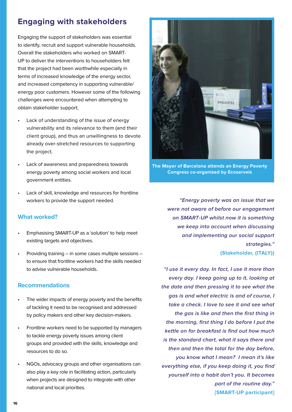## **Engaging with stakeholders**

Engaging the support of stakeholders was essential to identify, recruit and support vulnerable households. Overall the stakeholders who worked on SMART-UP to deliver the interventions to householders felt that the project had been worthwhile especially in terms of increased knowledge of the energy sector, and increased competency in supporting vulnerable/ energy poor customers. However some of the following challenges were encountered when attempting to obtain stakeholder support;

- Lack of understanding of the issue of energy vulnerability and its relevance to them (and their client group), and thus an unwillingness to devote already over-stretched resources to supporting the project.
- Lack of awareness and preparedness towards energy poverty among social workers and local government entities.
- Lack of skill, knowledge and resources for frontline workers to provide the support needed.

#### **What worked?**

- Emphasising SMART-UP as a 'solution' to help meet existing targets and objectives.
- Providing training in some cases multiple sessions to ensure that frontline workers had the skills needed to advise vulnerable households.

#### **Recommendations**

- The wider impacts of energy poverty and the benefits of tackling it need to be recognised and addressed by policy makers and other key decision-makers.
- Frontline workers need to be supported by managers to tackle energy poverty issues among client groups and provided with the skills, knowledge and resources to do so.
- NGOs, advocacy groups and other organisations can also play a key role in facilitating action, particularly when projects are designed to integrate with other national and local priorities.



**The Mayor of Barcelona attends an Energy Poverty Congress co-organised by Ecoserveis**

**"Energy poverty was an issue that we were not aware of before our engagement on SMART-UP whilst now it is something we keep into account when discussing and implementing our social support strategies." (Stakeholder, (ITALY))**

**"I use it every day. In fact, I use it more than every day. I keep going up to it, looking at the date and then pressing it to see what the gas is and what electric is and of course, I take a check. I love to see it and see what the gas is like and then the first thing in the morning, first thing I do before I put the kettle on for breakfast is find out how much is the standard chart, what it says there and then and then the total for the day before, you know what I mean? I mean it's like everything else, if you keep doing it, you find yourself into a habit don't you. It becomes part of the routine day." [SMART-UP participant]**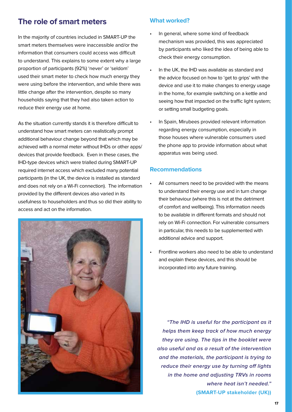## **The role of smart meters**

In the majority of countries included in SMART-UP the smart meters themselves were inaccessible and/or the information that consumers could access was difficult to understand. This explains to some extent why a large proportion of participants (92%) 'never' or 'seldom' used their smart meter to check how much energy they were using before the intervention, and while there was little change after the intervention, despite so many households saying that they had also taken action to reduce their energy use at home.

As the situation currently stands it is therefore difficult to understand how smart meters can realistically prompt additional behaviour change beyond that which may be achieved with a normal meter without IHDs or other apps/ devices that provide feedback. Even in these cases, the IHD-type devices which were trialled during SMART-UP required internet access which excluded many potential participants (in the UK, the device is installed as standard and does not rely on a Wi-Fi connection). The information provided by the different devices also varied in its usefulness to householders and thus so did their ability to access and act on the information.



#### **What worked?**

- In general, where some kind of feedback mechanism was provided, this was appreciated by participants who liked the idea of being able to check their energy consumption.
- In the UK, the IHD was available as standard and the advice focused on how to 'get to grips' with the device and use it to make changes to energy usage in the home, for example switching on a kettle and seeing how that impacted on the traffic light system; or setting small budgeting goals.
- In Spain, Mirubees provided relevant information regarding energy consumption, especially in those houses where vulnerable consumers used the phone app to provide information about what apparatus was being used.

#### **Recommendations**

- All consumers need to be provided with the means to understand their energy use and in turn change their behaviour (where this is not at the detriment of comfort and wellbeing). This information needs to be available in different formats and should not rely on Wi-Fi connection. For vulnerable consumers in particular, this needs to be supplemented with additional advice and support.
- Frontline workers also need to be able to understand and explain these devices, and this should be incorporated into any future training.

**"The IHD is useful for the participant as it helps them keep track of how much energy they are using. The tips in the booklet were also useful and as a result of the intervention and the materials, the participant is trying to reduce their energy use by turning off lights in the home and adjusting TRVs in rooms where heat isn't needed." (SMART-UP stakeholder (UK))**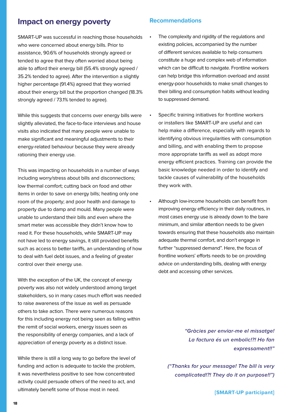## **Impact on energy poverty**

SMART-UP was successful in reaching those households who were concerned about energy bills. Prior to assistance, 90.6% of households strongly agreed or tended to agree that they often worried about being able to afford their energy bill (55.4% strongly agreed / 35.2% tended to agree). After the intervention a slightly higher percentage (91.4%) agreed that they worried about their energy bill but the proportion changed (18.3% strongly agreed / 73.1% tended to agree).

While this suggests that concerns over energy bills were slightly alleviated, the face-to-face interviews and house visits also indicated that many people were unable to make significant and meaningful adjustments to their energy-related behaviour because they were already rationing their energy use.

This was impacting on households in a number of ways including worry/stress about bills and disconnections; low thermal comfort; cutting back on food and other items in order to save on energy bills; heating only one room of the property; and poor health and damage to property due to damp and mould. Many people were unable to understand their bills and even where the smart meter was accessible they didn't know how to read it. For these households, while SMART-UP may not have led to energy savings, it still provided benefits such as access to better tariffs, an understanding of how to deal with fuel debt issues, and a feeling of greater control over their energy use.

With the exception of the UK, the concept of energy poverty was also not widely understood among target stakeholders, so in many cases much effort was needed to raise awareness of the issue as well as persuade others to take action. There were numerous reasons for this including energy not being seen as falling within the remit of social workers, energy issues seen as the responsibility of energy companies, and a lack of appreciation of energy poverty as a distinct issue.

While there is still a long way to go before the level of funding and action is adequate to tackle the problem, it was nevertheless positive to see how concentrated activity could persuade others of the need to act, and ultimately benefit some of those most in need.

#### **Recommendations**

- The complexity and rigidity of the regulations and existing policies, accompanied by the number of different services available to help consumers constitute a huge and complex web of information which can be difficult to navigate. Frontline workers can help bridge this information overload and assist energy-poor households to make small changes to their billing and consumption habits without leading to suppressed demand.
- Specific training initiatives for frontline workers or installers like SMART-UP are useful and can help make a difference, especially with regards to identifying obvious irregularities with consumption and billing, and with enabling them to propose more appropriate tariffs as well as adopt more energy efficient practices. Training can provide the basic knowledge needed in order to identify and tackle causes of vulnerability of the households they work with.
- Although low-income households can benefit from improving energy efficiency in their daily routines, in most cases energy use is already down to the bare minimum, and similar attention needs to be given towards ensuring that these households also maintain adequate thermal comfort, and don't engage in further "suppressed demand". Here, the focus of frontline workers' efforts needs to be on providing advice on understanding bills, dealing with energy debt and accessing other services.

**"Gràcies per enviar-me el missatge! La factura és un embolic!?! Ho fan expressament!!"** 

**("Thanks for your message! The bill is very complicated!?! They do it on purpose!!")** 

**[SMART-UP participant]**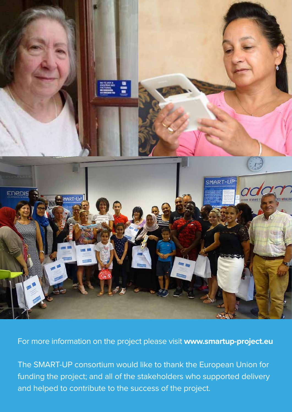

For more information on the project please visit **www.smartup-project.eu**

The SMART-UP consortium would like to thank the European Union for funding the project; and all of the stakeholders who supported delivery and helped to contribute to the success of the project.